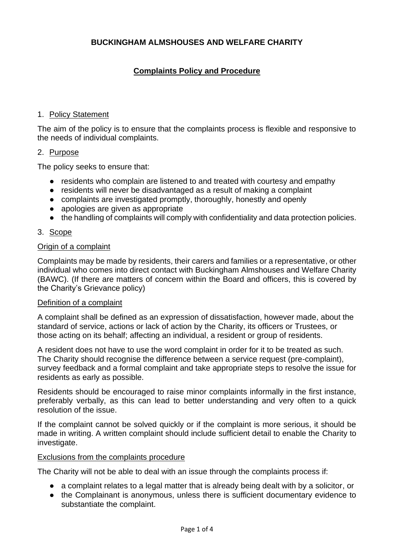# **BUCKINGHAM ALMSHOUSES AND WELFARE CHARITY**

# **Complaints Policy and Procedure**

### 1. Policy Statement

The aim of the policy is to ensure that the complaints process is flexible and responsive to the needs of individual complaints.

### 2. Purpose

The policy seeks to ensure that:

- residents who complain are listened to and treated with courtesy and empathy
- residents will never be disadvantaged as a result of making a complaint
- complaints are investigated promptly, thoroughly, honestly and openly
- apologies are given as appropriate
- the handling of complaints will comply with confidentiality and data protection policies.

### 3. Scope

### Origin of a complaint

Complaints may be made by residents, their carers and families or a representative, or other individual who comes into direct contact with Buckingham Almshouses and Welfare Charity (BAWC). (If there are matters of concern within the Board and officers, this is covered by the Charity's Grievance policy)

### Definition of a complaint

A complaint shall be defined as an expression of dissatisfaction, however made, about the standard of service, actions or lack of action by the Charity, its officers or Trustees, or those acting on its behalf; affecting an individual, a resident or group of residents.

A resident does not have to use the word complaint in order for it to be treated as such. The Charity should recognise the difference between a service request (pre-complaint), survey feedback and a formal complaint and take appropriate steps to resolve the issue for residents as early as possible.

Residents should be encouraged to raise minor complaints informally in the first instance, preferably verbally, as this can lead to better understanding and very often to a quick resolution of the issue.

If the complaint cannot be solved quickly or if the complaint is more serious, it should be made in writing. A written complaint should include sufficient detail to enable the Charity to investigate.

### Exclusions from the complaints procedure

The Charity will not be able to deal with an issue through the complaints process if:

- a complaint relates to a legal matter that is already being dealt with by a solicitor, or
- the Complainant is anonymous, unless there is sufficient documentary evidence to substantiate the complaint.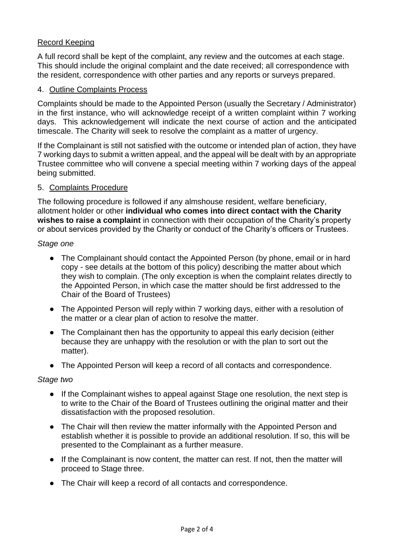# Record Keeping

A full record shall be kept of the complaint, any review and the outcomes at each stage. This should include the original complaint and the date received; all correspondence with the resident, correspondence with other parties and any reports or surveys prepared.

### 4. Outline Complaints Process

Complaints should be made to the Appointed Person (usually the Secretary / Administrator) in the first instance, who will acknowledge receipt of a written complaint within 7 working days. This acknowledgement will indicate the next course of action and the anticipated timescale. The Charity will seek to resolve the complaint as a matter of urgency.

If the Complainant is still not satisfied with the outcome or intended plan of action, they have 7 working days to submit a written appeal, and the appeal will be dealt with by an appropriate Trustee committee who will convene a special meeting within 7 working days of the appeal being submitted.

## 5. Complaints Procedure

The following procedure is followed if any almshouse resident, welfare beneficiary, allotment holder or other **individual who comes into direct contact with the Charity wishes to raise a complaint** in connection with their occupation of the Charity's property or about services provided by the Charity or conduct of the Charity's officers or Trustees.

### *Stage one*

- The Complainant should contact the Appointed Person (by phone, email or in hard copy - see details at the bottom of this policy) describing the matter about which they wish to complain. (The only exception is when the complaint relates directly to the Appointed Person, in which case the matter should be first addressed to the Chair of the Board of Trustees)
- The Appointed Person will reply within 7 working days, either with a resolution of the matter or a clear plan of action to resolve the matter.
- The Complainant then has the opportunity to appeal this early decision (either because they are unhappy with the resolution or with the plan to sort out the matter).
- The Appointed Person will keep a record of all contacts and correspondence.

### *Stage two*

- If the Complainant wishes to appeal against Stage one resolution, the next step is to write to the Chair of the Board of Trustees outlining the original matter and their dissatisfaction with the proposed resolution.
- The Chair will then review the matter informally with the Appointed Person and establish whether it is possible to provide an additional resolution. If so, this will be presented to the Complainant as a further measure.
- If the Complainant is now content, the matter can rest. If not, then the matter will proceed to Stage three.
- The Chair will keep a record of all contacts and correspondence.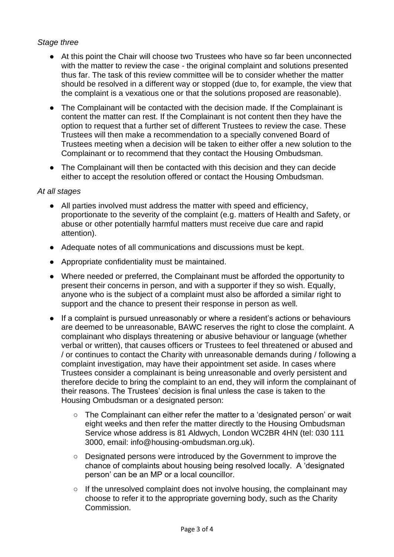# *Stage three*

- At this point the Chair will choose two Trustees who have so far been unconnected with the matter to review the case - the original complaint and solutions presented thus far. The task of this review committee will be to consider whether the matter should be resolved in a different way or stopped (due to, for example, the view that the complaint is a vexatious one or that the solutions proposed are reasonable).
- The Complainant will be contacted with the decision made. If the Complainant is content the matter can rest. If the Complainant is not content then they have the option to request that a further set of different Trustees to review the case. These Trustees will then make a recommendation to a specially convened Board of Trustees meeting when a decision will be taken to either offer a new solution to the Complainant or to recommend that they contact the Housing Ombudsman.
- The Complainant will then be contacted with this decision and they can decide either to accept the resolution offered or contact the Housing Ombudsman.

## *At all stages*

- All parties involved must address the matter with speed and efficiency, proportionate to the severity of the complaint (e.g. matters of Health and Safety, or abuse or other potentially harmful matters must receive due care and rapid attention).
- Adequate notes of all communications and discussions must be kept.
- Appropriate confidentiality must be maintained.
- Where needed or preferred, the Complainant must be afforded the opportunity to present their concerns in person, and with a supporter if they so wish. Equally, anyone who is the subject of a complaint must also be afforded a similar right to support and the chance to present their response in person as well.
- If a complaint is pursued unreasonably or where a resident's actions or behaviours are deemed to be unreasonable, BAWC reserves the right to close the complaint. A complainant who displays threatening or abusive behaviour or language (whether verbal or written), that causes officers or Trustees to feel threatened or abused and / or continues to contact the Charity with unreasonable demands during / following a complaint investigation, may have their appointment set aside. In cases where Trustees consider a complainant is being unreasonable and overly persistent and therefore decide to bring the complaint to an end, they will inform the complainant of their reasons. The Trustees' decision is final unless the case is taken to the Housing Ombudsman or a designated person:
	- The Complainant can either refer the matter to a 'designated person' or wait eight weeks and then refer the matter directly to the Housing Ombudsman Service whose address is 81 Aldwych, London WC2BR 4HN (tel: 030 111 3000, email: info@housing-ombudsman.org.uk).
	- Designated persons were introduced by the Government to improve the chance of complaints about housing being resolved locally. A 'designated person' can be an MP or a local councillor.
	- If the unresolved complaint does not involve housing, the complainant may choose to refer it to the appropriate governing body, such as the Charity Commission.